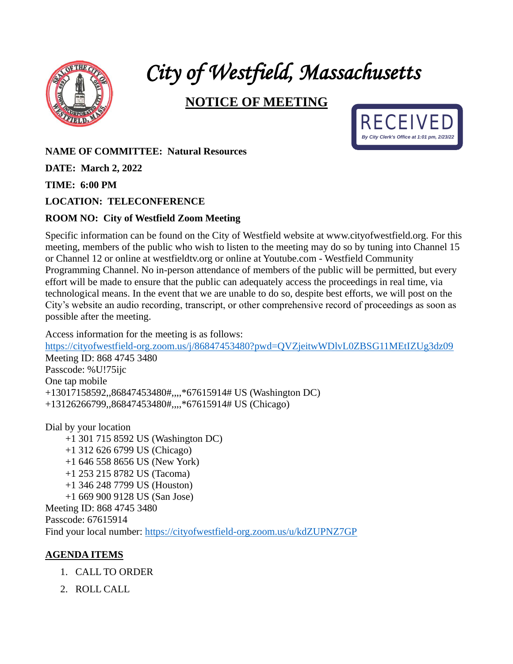

# *City of Westfield, Massachusetts*

## **NOTICE OF MEETING**



### **NAME OF COMMITTEE: Natural Resources**

**DATE: March 2, 2022**

**TIME: 6:00 PM**

#### **LOCATION: TELECONFERENCE**

#### **ROOM NO: City of Westfield Zoom Meeting**

Specific information can be found on the City of Westfield website at www.cityofwestfield.org. For this meeting, members of the public who wish to listen to the meeting may do so by tuning into Channel 15 or Channel 12 or online at westfieldtv.org or online at Youtube.com - Westfield Community Programming Channel. No in-person attendance of members of the public will be permitted, but every effort will be made to ensure that the public can adequately access the proceedings in real time, via technological means. In the event that we are unable to do so, despite best efforts, we will post on the City's website an audio recording, transcript, or other comprehensive record of proceedings as soon as possible after the meeting.

Access information for the meeting is as follows:

<https://cityofwestfield-org.zoom.us/j/86847453480?pwd=QVZjeitwWDlvL0ZBSG11MEtIZUg3dz09> Meeting ID: 868 4745 3480 Passcode: %U!75ijc One tap mobile +13017158592,,86847453480#,,,,\*67615914# US (Washington DC) +13126266799,,86847453480#,,,,\*67615914# US (Chicago)

Dial by your location +1 301 715 8592 US (Washington DC) +1 312 626 6799 US (Chicago) +1 646 558 8656 US (New York) +1 253 215 8782 US (Tacoma) +1 346 248 7799 US (Houston) +1 669 900 9128 US (San Jose) Meeting ID: 868 4745 3480 Passcode: 67615914

Find your local number:<https://cityofwestfield-org.zoom.us/u/kdZUPNZ7GP>

#### **AGENDA ITEMS**

- 1. CALL TO ORDER
- 2. ROLL CALL